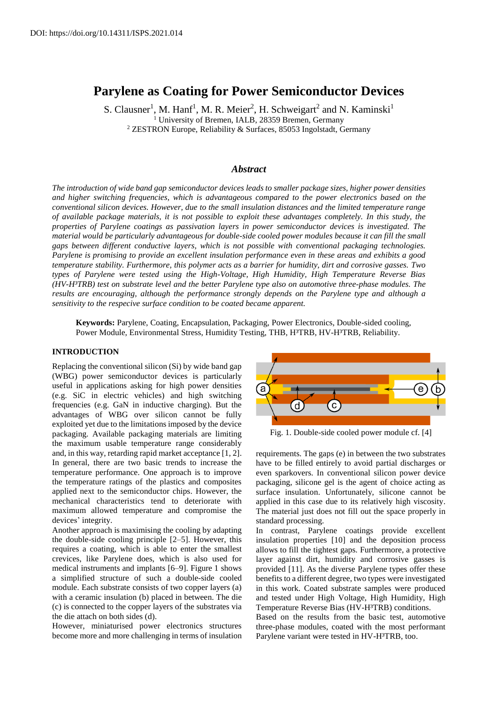# **Parylene as Coating for Power Semiconductor Devices**

S. Clausner<sup>1</sup>, M. Hanf<sup>1</sup>, M. R. Meier<sup>2</sup>, H. Schweigart<sup>2</sup> and N. Kaminski<sup>1</sup> <sup>1</sup> University of Bremen, IALB, 28359 Bremen, Germany <sup>2</sup> ZESTRON Europe, Reliability & Surfaces, 85053 Ingolstadt, Germany

# *Abstract*

*The introduction of wide band gap semiconductor devices leads to smaller package sizes, higher power densities and higher switching frequencies, which is advantageous compared to the power electronics based on the conventional silicon devices. However, due to the small insulation distances and the limited temperature range of available package materials, it is not possible to exploit these advantages completely. In this study, the properties of Parylene coatings as passivation layers in power semiconductor devices is investigated. The material would be particularly advantageous for double-side cooled power modules because it can fill the small gaps between different conductive layers, which is not possible with conventional packaging technologies. Parylene is promising to provide an excellent insulation performance even in these areas and exhibits a good temperature stability. Furthermore, this polymer acts as a barrier for humidity, dirt and corrosive gasses. Two types of Parylene were tested using the High-Voltage, High Humidity, High Temperature Reverse Bias (HV-H³TRB) test on substrate level and the better Parylene type also on automotive three-phase modules. The results are encouraging, although the performance strongly depends on the Parylene type and although a sensitivity to the respecive surface condition to be coated became apparent.*

**Keywords:** Parylene, Coating, Encapsulation, Packaging, Power Electronics, Double-sided cooling, Power Module, Environmental Stress, Humidity Testing, THB, H<sup>3</sup>TRB, HV-H<sup>3</sup>TRB, Reliability.

# **INTRODUCTION**

Replacing the conventional silicon (Si) by wide band gap (WBG) power semiconductor devices is particularly useful in applications asking for high power densities (e.g. SiC in electric vehicles) and high switching frequencies (e.g. GaN in inductive charging). But the advantages of WBG over silicon cannot be fully exploited yet due to the limitations imposed by the device packaging. Available packaging materials are limiting the maximum usable temperature range considerably and, in this way, retarding rapid market acceptance [1, 2]. In general, there are two basic trends to increase the temperature performance. One approach is to improve the temperature ratings of the plastics and composites applied next to the semiconductor chips. However, the mechanical characteristics tend to deteriorate with maximum allowed temperature and compromise the devices' integrity.

Another approach is maximising the cooling by adapting the double-side cooling principle [2–5]. However, this requires a coating, which is able to enter the smallest crevices, like Parylene does, which is also used for medical instruments and implants [6–9]. Figure 1 shows a simplified structure of such a double-side cooled module. Each substrate consists of two copper layers (a) with a ceramic insulation (b) placed in between. The die (c) is connected to the copper layers of the substrates via the die attach on both sides (d).

However, miniaturised power electronics structures become more and more challenging in terms of insulation



Fig. 1. Double-side cooled power module cf. [4]

requirements. The gaps (e) in between the two substrates have to be filled entirely to avoid partial discharges or even sparkovers. In conventional silicon power device packaging, silicone gel is the agent of choice acting as surface insulation. Unfortunately, silicone cannot be applied in this case due to its relatively high viscosity. The material just does not fill out the space properly in standard processing.

In contrast, Parylene coatings provide excellent insulation properties [10] and the deposition process allows to fill the tightest gaps. Furthermore, a protective layer against dirt, humidity and corrosive gasses is provided [11]. As the diverse Parylene types offer these benefits to a different degree, two types were investigated in this work. Coated substrate samples were produced and tested under High Voltage, High Humidity, High Temperature Reverse Bias (HV-H<sup>3</sup>TRB) conditions.

Based on the results from the basic test, automotive three-phase modules, coated with the most performant Parylene variant were tested in HV-H<sup>3</sup>TRB, too.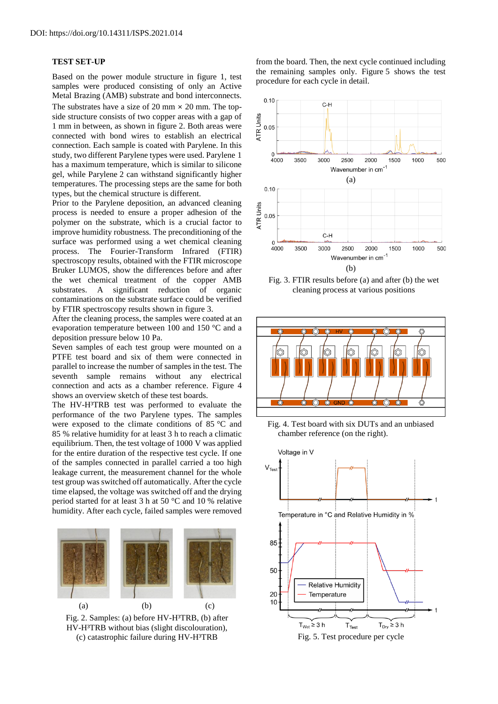### **TEST SET-UP**

Based on the power module structure in figure 1, test samples were produced consisting of only an Active Metal Brazing (AMB) substrate and bond interconnects. The substrates have a size of 20 mm  $\times$  20 mm. The topside structure consists of two copper areas with a gap of 1 mm in between, as shown in figure 2. Both areas were connected with bond wires to establish an electrical connection. Each sample is coated with Parylene. In this study, two different Parylene types were used. Parylene 1 has a maximum temperature, which is similar to silicone gel, while Parylene 2 can withstand significantly higher temperatures. The processing steps are the same for both types, but the chemical structure is different.

Prior to the Parylene deposition, an advanced cleaning process is needed to ensure a proper adhesion of the polymer on the substrate, which is a crucial factor to improve humidity robustness. The preconditioning of the surface was performed using a wet chemical cleaning process. The Fourier-Transform Infrared (FTIR) spectroscopy results, obtained with the FTIR microscope Bruker LUMOS, show the differences before and after the wet chemical treatment of the copper AMB substrates. A significant reduction of organic contaminations on the substrate surface could be verified by FTIR spectroscopy results shown in figure 3.

After the cleaning process, the samples were coated at an evaporation temperature between 100 and 150 °C and a deposition pressure below 10 Pa.

Seven samples of each test group were mounted on a PTFE test board and six of them were connected in parallel to increase the number of samples in the test. The seventh sample remains without any electrical connection and acts as a chamber reference. Figure 4 shows an overview sketch of these test boards.

The HV-H<sup>3</sup>TRB test was performed to evaluate the performance of the two Parylene types. The samples were exposed to the climate conditions of 85 °C and 85 % relative humidity for at least 3 h to reach a climatic equilibrium. Then, the test voltage of 1000 V was applied for the entire duration of the respective test cycle. If one of the samples connected in parallel carried a too high leakage current, the measurement channel for the whole test group was switched off automatically. After the cycle time elapsed, the voltage was switched off and the drying period started for at least 3 h at 50 °C and 10 % relative humidity. After each cycle, failed samples were removed



Fig. 2. Samples: (a) before HV-H<sup>3</sup>TRB, (b) after HV-H<sup>3</sup>TRB without bias (slight discolouration), (c) catastrophic failure during HV-H<sup>3</sup>TRB Fig. 5. Test procedure per cycle

from the board. Then, the next cycle continued including the remaining samples only. Figure 5 shows the test procedure for each cycle in detail.



Fig. 3. FTIR results before (a) and after (b) the wet cleaning process at various positions



Fig. 4. Test board with six DUTs and an unbiased chamber reference (on the right).

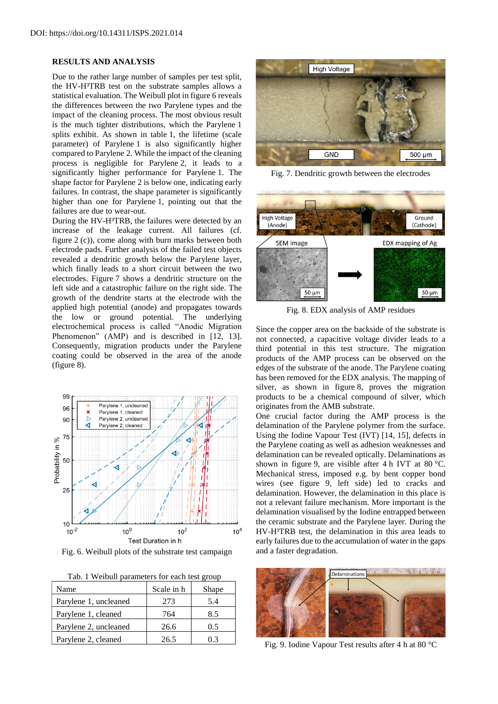### **RESULTS AND ANALYSIS**

Due to the rather large number of samples per test split, the HV-H<sup>3</sup>TRB test on the substrate samples allows a statistical evaluation. The Weibull plot in figure 6 reveals the differences between the two Parylene types and the impact of the cleaning process. The most obvious result is the much tighter distributions, which the Parylene 1 splits exhibit. As shown in table 1, the lifetime (scale parameter) of Parylene 1 is also significantly higher compared to Parylene 2. While the impact of the cleaning process is negligible for Parylene 2, it leads to a significantly higher performance for Parylene 1. The shape factor for Parylene 2 is below one, indicating early failures. In contrast, the shape parameter is significantly higher than one for Parylene 1, pointing out that the failures are due to wear-out.

During the HV-H<sup>3</sup>TRB, the failures were detected by an increase of the leakage current. All failures (cf. figure 2 (c)), come along with burn marks between both electrode pads. Further analysis of the failed test objects revealed a dendritic growth below the Parylene layer, which finally leads to a short circuit between the two electrodes. Figure 7 shows a dendritic structure on the left side and a catastrophic failure on the right side. The growth of the dendrite starts at the electrode with the applied high potential (anode) and propagates towards the low or ground potential. The underlying electrochemical process is called "Anodic Migration Phenomenon" (AMP) and is described in [12, 13]. Consequently, migration products under the Parylene coating could be observed in the area of the anode (figure 8).



Fig. 6. Weibull plots of the substrate test campaign and a faster degradation.

|  | Tab. 1 Weibull parameters for each test group |  |  |  |  |
|--|-----------------------------------------------|--|--|--|--|
|  |                                               |  |  |  |  |

| Name                  | Scale in h | Shape |
|-----------------------|------------|-------|
| Parylene 1, uncleaned | 273        | 5.4   |
| Parylene 1, cleaned   | 764        | 8.5   |
| Parylene 2, uncleaned | 26.6       | 0.5   |
| Parylene 2, cleaned   | 26.5       |       |



Fig. 7. Dendritic growth between the electrodes



Fig. 8. EDX analysis of AMP residues

Since the copper area on the backside of the substrate is not connected, a capacitive voltage divider leads to a third potential in this test structure. The migration products of the AMP process can be observed on the edges of the substrate of the anode. The Parylene coating has been removed for the EDX analysis. The mapping of silver, as shown in figure 8, proves the migration products to be a chemical compound of silver, which originates from the AMB substrate.

One crucial factor during the AMP process is the delamination of the Parylene polymer from the surface. Using the Iodine Vapour Test (IVT) [14, 15], defects in the Parylene coating as well as adhesion weaknesses and delamination can be revealed optically. Delaminations as shown in figure 9, are visible after 4 h IVT at 80 °C. Mechanical stress, imposed e.g. by bent copper bond wires (see figure 9, left side) led to cracks and delamination. However, the delamination in this place is not a relevant failure mechanism. More important is the delamination visualised by the Iodine entrapped between the ceramic substrate and the Parylene layer. During the HV-H<sup>3</sup>TRB test, the delamination in this area leads to early failures due to the accumulation of water in the gaps



Fig. 9. Iodine Vapour Test results after 4 h at 80 °C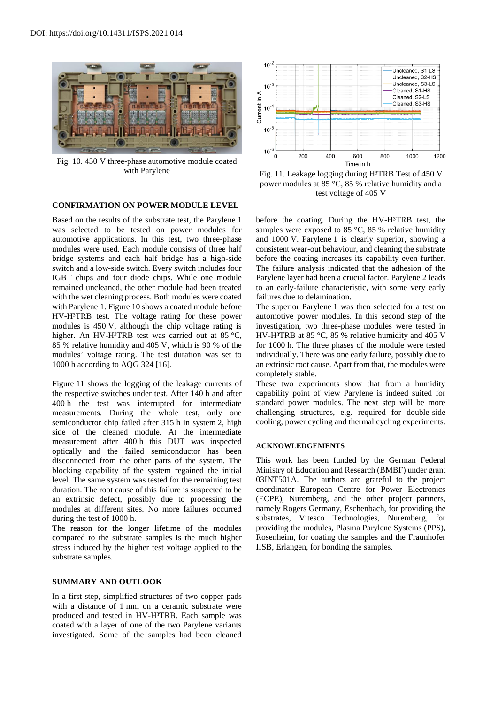

Fig. 10. 450 V three-phase automotive module coated with Parylene

# **CONFIRMATION ON POWER MODULE LEVEL**

Based on the results of the substrate test, the Parylene 1 was selected to be tested on power modules for automotive applications. In this test, two three-phase modules were used. Each module consists of three half bridge systems and each half bridge has a high-side switch and a low-side switch. Every switch includes four IGBT chips and four diode chips. While one module remained uncleaned, the other module had been treated with the wet cleaning process. Both modules were coated with Parylene 1. Figure 10 shows a coated module before HV-H<sup>3</sup>TRB test. The voltage rating for these power modules is 450 V, although the chip voltage rating is higher. An HV-H<sup>3</sup>TRB test was carried out at 85 °C, 85 % relative humidity and 405 V, which is 90 % of the modules' voltage rating. The test duration was set to 1000 h according to AQG 324 [16].

Figure 11 shows the logging of the leakage currents of the respective switches under test. After 140 h and after 400 h the test was interrupted for intermediate measurements. During the whole test, only one semiconductor chip failed after 315 h in system 2, high side of the cleaned module. At the intermediate measurement after 400 h this DUT was inspected optically and the failed semiconductor has been disconnected from the other parts of the system. The blocking capability of the system regained the initial level. The same system was tested for the remaining test duration. The root cause of this failure is suspected to be an extrinsic defect, possibly due to processing the modules at different sites. No more failures occurred during the test of 1000 h.

The reason for the longer lifetime of the modules compared to the substrate samples is the much higher stress induced by the higher test voltage applied to the substrate samples.

#### **SUMMARY AND OUTLOOK**

In a first step, simplified structures of two copper pads with a distance of 1 mm on a ceramic substrate were produced and tested in HV-H<sup>3</sup>TRB. Each sample was coated with a layer of one of the two Parylene variants investigated. Some of the samples had been cleaned



Fig. 11. Leakage logging during H<sup>3</sup>TRB Test of 450 V power modules at 85 °C, 85 % relative humidity and a test voltage of 405 V

before the coating. During the HV-H<sup>3</sup>TRB test, the samples were exposed to 85  $\degree$ C, 85 % relative humidity and 1000 V. Parylene 1 is clearly superior, showing a consistent wear-out behaviour, and cleaning the substrate before the coating increases its capability even further. The failure analysis indicated that the adhesion of the Parylene layer had been a crucial factor. Parylene 2 leads to an early-failure characteristic, with some very early failures due to delamination.

The superior Parylene 1 was then selected for a test on automotive power modules. In this second step of the investigation, two three-phase modules were tested in HV-H<sup>3</sup>TRB at 85 °C, 85 % relative humidity and 405 V for 1000 h. The three phases of the module were tested individually. There was one early failure, possibly due to an extrinsic root cause. Apart from that, the modules were completely stable.

These two experiments show that from a humidity capability point of view Parylene is indeed suited for standard power modules. The next step will be more challenging structures, e.g. required for double-side cooling, power cycling and thermal cycling experiments.

## **ACKNOWLEDGEMENTS**

This work has been funded by the German Federal Ministry of Education and Research (BMBF) under grant 03INT501A. The authors are grateful to the project coordinator European Centre for Power Electronics (ECPE), Nuremberg, and the other project partners, namely Rogers Germany, Eschenbach, for providing the substrates, Vitesco Technologies, Nuremberg, for providing the modules, Plasma Parylene Systems (PPS), Rosenheim, for coating the samples and the Fraunhofer IISB, Erlangen, for bonding the samples.